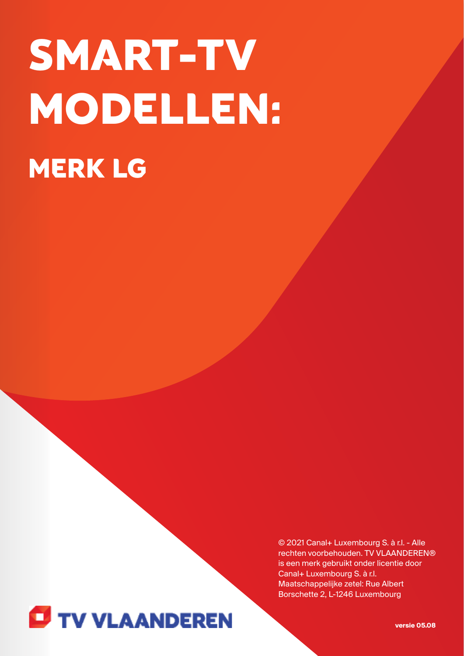# SMART-TV MODELLEN: MERK LG

© 2021 Canal+ Luxembourg S. à r.l. - Alle rechten voorbehouden. TV VLAANDEREN® is een merk gebruikt onder licentie door Canal+ Luxembourg S. à r.l. Maatschappelijke zetel: Rue Albert Borschette 2, L-1246 Luxembourg



**versie 05.08**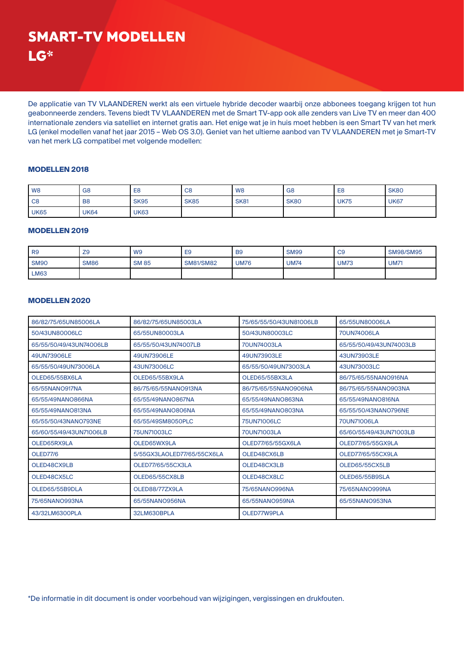De applicatie van TV VLAANDEREN werkt als een virtuele hybride decoder waarbij onze abbonees toegang krijgen tot hun geabonneerde zenders. Tevens biedt TV VLAANDEREN met de Smart TV-app ook alle zenders van Live TV en meer dan 400 internationale zenders via satelliet en internet gratis aan. Het enige wat je in huis moet hebben is een Smart TV van het merk LG (enkel modellen vanaf het jaar 2015 – Web OS 3.0). Geniet van het ultieme aanbod van TV VLAANDEREN met je Smart-TV van het merk LG compatibel met volgende modellen:

## **MODELLEN 2018**

| W <sub>8</sub> | G <sub>8</sub> | E <sub>8</sub> | C <sub>8</sub> | W <sub>8</sub> | G <sub>8</sub> | E <sub>8</sub> | <b>SK80</b> |
|----------------|----------------|----------------|----------------|----------------|----------------|----------------|-------------|
| C <sub>8</sub> | B <sub>8</sub> | <b>SK95</b>    | <b>SK85</b>    | <b>SK81</b>    | <b>SK80</b>    | <b>UK75</b>    | <b>UK67</b> |
| <b>UK65</b>    | <b>UK64</b>    | <b>UK63</b>    |                |                |                |                |             |

### **MODELLEN 2019**

| R <sub>9</sub> | Z <sub>9</sub> | W <sub>9</sub> | E <sub>9</sub>   | <b>B</b> 9  | <b>SM99</b> | CS          | <b>SM98/SM95</b> |
|----------------|----------------|----------------|------------------|-------------|-------------|-------------|------------------|
| <b>SM90</b>    | <b>SM86</b>    | <b>SM85</b>    | <b>SM81/SM82</b> | <b>UM76</b> | <b>UM74</b> | <b>UM73</b> | <b>UM71</b>      |
| <b>LM63</b>    |                |                |                  |             |             |             |                  |

### **MODELLEN 2020**

| 86/82/75/65UN85006LA    | 86/82/75/65UN85003LA       | 75/65/55/50/43UN81006LB | 65/55UN80006LA          |
|-------------------------|----------------------------|-------------------------|-------------------------|
| 50/43UN80006LC          | 65/55UN80003LA             | 50/43UN80003LC          | 70UN74006LA             |
| 65/55/50/49/43UN74006LB | 65/55/50/43UN74007LB       | 70UN74003LA             | 65/55/50/49/43UN74003LB |
| 49UN73906LE             | 49UN73906LE                | 49UN73903LE             | 43UN73903LE             |
| 65/55/50/49UN73006LA    | 43UN73006LC                | 65/55/50/49UN73003LA    | 43UN73003LC             |
| OLED65/55BX6LA          | OLED65/55BX9LA             | OLED65/55BX3LA          | 86/75/65/55NANO916NA    |
| 65/55NANO917NA          | 86/75/65/55NANO913NA       | 86/75/65/55NANO906NA    | 86/75/65/55NANO903NA    |
| 65/55/49NANO866NA       | 65/55/49NANO867NA          | 65/55/49NANO863NA       | 65/55/49NANO816NA       |
| 65/55/49NANO813NA       | 65/55/49NANO806NA          | 65/55/49NANO803NA       | 65/55/50/43NANO796NE    |
| 65/55/50/43NANO793NE    | 65/55/49SM8050PLC          | 75UN71006LC             | 70UN71006LA             |
| 65/60/55/49/43UN71006LB | 75UN71003LC                | 70UN71003LA             | 65/60/55/49/43UN71003LB |
| OLED65RX9LA             | OLED65WX9LA                | OLED77/65/55GX6LA       | OLED77/65/55GX9LA       |
| <b>OLED77/6</b>         | 5/55GX3LAOLED77/65/55CX6LA | OLED48CX6LB             | OLED77/65/55CX9LA       |
| OLED48CX9LB             | OLED77/65/55CX3LA          | OLED48CX3LB             | OLED65/55CX5LB          |
| OLED48CX5LC             | OLED65/55CX8LB             | OLED48CX8LC             | OLED65/55B9SLA          |
| OLED65/55B9DLA          | OLED88/77ZX9LA             | 75/65NANO996NA          | 75/65NANO999NA          |
| 75/65NANO993NA          | 65/55NANO956NA             | 65/55NANO959NA          | 65/55NANO953NA          |
| 43/32LM6300PLA          | 32LM630BPLA                | OLED77W9PLA             |                         |

\*De informatie in dit document is onder voorbehoud van wijzigingen, vergissingen en drukfouten.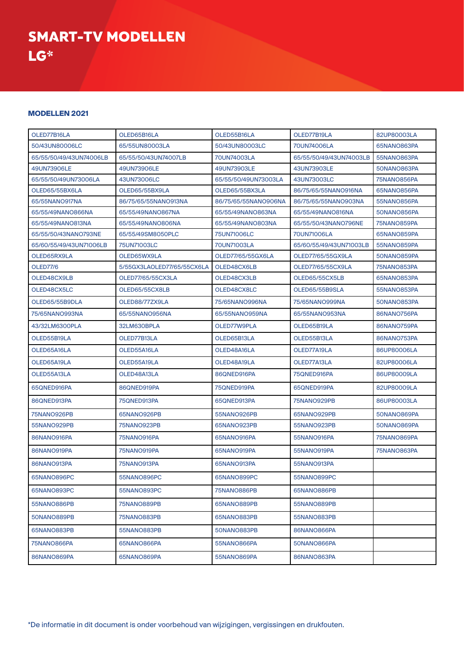SMART-TV MODELLEN LG\*

### **MODELLEN 2021**

| OLED77B16LA             | OLED65B16LA                | OLED55B16LA          | OLED77B19LA             | 82UP80003LA |
|-------------------------|----------------------------|----------------------|-------------------------|-------------|
| 50/43UN80006LC          | 65/55UN80003LA             | 50/43UN80003LC       | 70UN74006LA             | 65NANO863PA |
| 65/55/50/49/43UN74006LB | 65/55/50/43UN74007LB       | 70UN74003LA          | 65/55/50/49/43UN74003LB | 55NANO863PA |
| 49UN73906LE             | 49UN73906LE                | 49UN73903LE          | 43UN73903LE             | 50NANO863PA |
| 65/55/50/49UN73006LA    | 43UN73006LC                | 65/55/50/49UN73003LA | 43UN73003LC             | 75NANO856PA |
| OLED65/55BX6LA          | OLED65/55BX9LA             | OLED65/55BX3LA       | 86/75/65/55NANO916NA    | 65NANO856PA |
| 65/55NANO917NA          | 86/75/65/55NANO913NA       | 86/75/65/55NANO906NA | 86/75/65/55NANO903NA    | 55NANO856PA |
| 65/55/49NANO866NA       | 65/55/49NANO867NA          | 65/55/49NANO863NA    | 65/55/49NANO816NA       | 50NANO856PA |
| 65/55/49NANO813NA       | 65/55/49NANO806NA          | 65/55/49NANO803NA    | 65/55/50/43NANO796NE    | 75NANO859PA |
| 65/55/50/43NANO793NE    | 65/55/49SM8050PLC          | 75UN71006LC          | 70UN71006LA             | 65NANO859PA |
| 65/60/55/49/43UN71006LB | 75UN71003LC                | 70UN71003LA          | 65/60/55/49/43UN71003LB | 55NANO859PA |
| OLED65RX9LA             | OLED65WX9LA                | OLED77/65/55GX6LA    | OLED77/65/55GX9LA       | 50NANO859PA |
| <b>OLED77/6</b>         | 5/55GX3LAOLED77/65/55CX6LA | OLED48CX6LB          | OLED77/65/55CX9LA       | 75NANO853PA |
| OLED48CX9LB             | OLED77/65/55CX3LA          | OLED48CX3LB          | OLED65/55CX5LB          | 65NANO853PA |
| OLED48CX5LC             | OLED65/55CX8LB             | OLED48CX8LC          | OLED65/55B9SLA          | 55NANO853PA |
| OLED65/55B9DLA          | OLED88/77ZX9LA             | 75/65NANO996NA       | 75/65NANO999NA          | 50NANO853PA |
| 75/65NANO993NA          | 65/55NANO956NA             | 65/55NANO959NA       | 65/55NANO953NA          | 86NANO756PA |
| 43/32LM6300PLA          | 32LM630BPLA                | OLED77W9PLA          | OLED65B19LA             | 86NANO759PA |
| OLED55B19LA             | OLED77B13LA                | OLED65B13LA          | OLED55B13LA             | 86NANO753PA |
| OLED65A16LA             | OLED55A16LA                | OLED48A16LA          | OLED77A19LA             | 86UP80006LA |
| OLED65A19LA             | OLED55A19LA                | OLED48A19LA          | OLED77A13LA             | 82UP80006LA |
| OLED55A13LA             | OLED48A13LA                | 86QNED916PA          | 75QNED916PA             | 86UP80009LA |
| 65QNED916PA             | 86QNED919PA                | 75QNED919PA          | 65QNED919PA             | 82UP80009LA |
| 86QNED913PA             | 75QNED913PA                | 65QNED913PA          | 75NANO929PB             | 86UP80003LA |
| 75NANO926PB             | 65NANO926PB                | 55NANO926PB          | 65NANO929PB             | 50NANO869PA |
| 55NANO929PB             | 75NANO923PB                | 65NANO923PB          | 55NANO923PB             | 50NANO869PA |
| 86NANO916PA             | 75NANO916PA                | 65NANO916PA          | 55NANO916PA             | 75NANO869PA |
| 86NANO919PA             | 75NANO919PA                | 65NANO919PA          | 55NANO919PA             | 75NANO863PA |
| 86NANO913PA             | 75NANO913PA                | 65NANO913PA          | 55NANO913PA             |             |
| 65NANO896PC             | 55NANO896PC                | 65NANO899PC          | 55NANO899PC             |             |
| 65NANO893PC             | 55NANO893PC                | 75NANO886PB          | 65NANO886PB             |             |
| 55NANO886PB             | 75NANO889PB                | 65NANO889PB          | 55NANO889PB             |             |
| 50NANO889PB             | 75NANO883PB                | 65NANO883PB          | 55NANO883PB             |             |
| 65NANO883PB             | 55NANO883PB                | 50NANO883PB          | 86NANO866PA             |             |
| 75NANO866PA             | 65NANO866PA                | 55NANO866PA          | 50NANO866PA             |             |
| 86NANO869PA             | 65NANO869PA                | 55NANO869PA          | 86NANO863PA             |             |

\*De informatie in dit document is onder voorbehoud van wijzigingen, vergissingen en drukfouten.